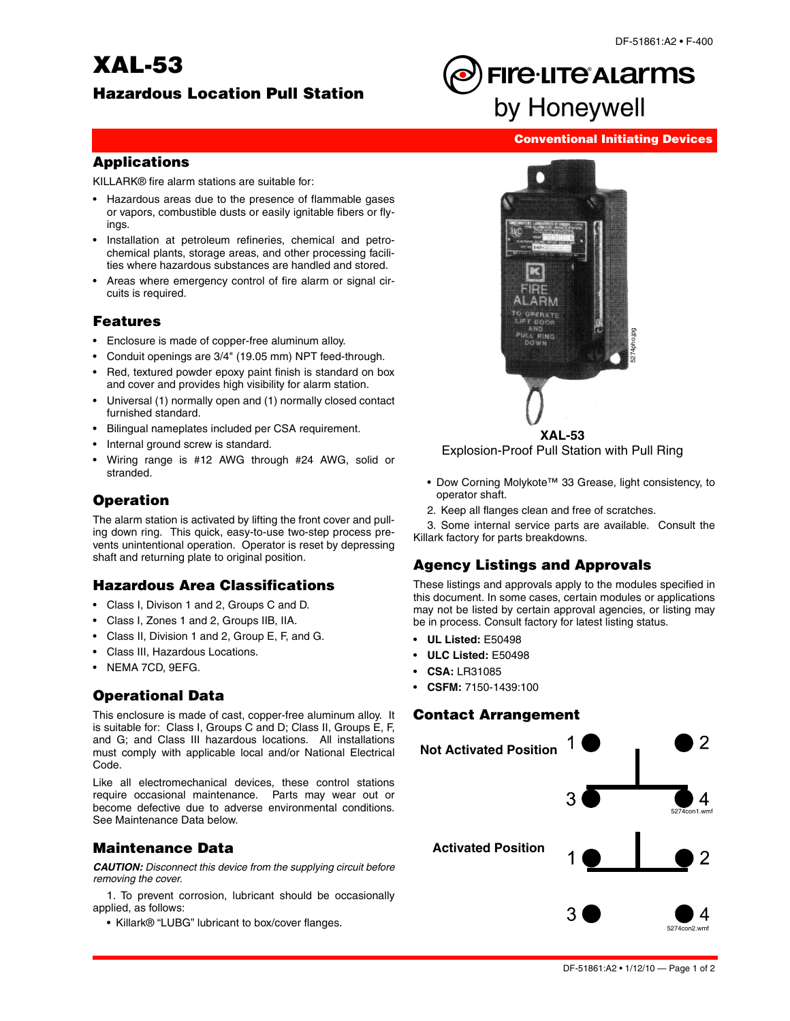# **XAL-53**

# **Hazardous Location Pull Station**

# **FIre.LITe ALArms** by Honeywell

#### **Conventional Initiating Devices**

#### **Applications**

KILLARK® fire alarm stations are suitable for:

- Hazardous areas due to the presence of flammable gases or vapors, combustible dusts or easily ignitable fibers or flyings.
- Installation at petroleum refineries, chemical and petrochemical plants, storage areas, and other processing facilities where hazardous substances are handled and stored.
- Areas where emergency control of fire alarm or signal circuits is required.

#### **Features**

- Enclosure is made of copper-free aluminum alloy.
- Conduit openings are 3/4" (19.05 mm) NPT feed-through.
- Red, textured powder epoxy paint finish is standard on box and cover and provides high visibility for alarm station.
- Universal (1) normally open and (1) normally closed contact furnished standard.
- Bilingual nameplates included per CSA requirement.
- Internal ground screw is standard.
- Wiring range is #12 AWG through #24 AWG, solid or stranded.

# **Operation**

The alarm station is activated by lifting the front cover and pulling down ring. This quick, easy-to-use two-step process prevents unintentional operation. Operator is reset by depressing shaft and returning plate to original position.

#### **Hazardous Area Classifications**

- Class I, Divison 1 and 2, Groups C and D.
- Class I, Zones 1 and 2, Groups IIB, IIA.
- Class II, Division 1 and 2, Group E, F, and G.
- Class III, Hazardous Locations.
- NEMA 7CD, 9EFG.

# **Operational Data**

This enclosure is made of cast, copper-free aluminum alloy. It is suitable for: Class I, Groups C and D; Class II, Groups E, F, and G; and Class III hazardous locations. All installations must comply with applicable local and/or National Electrical Code.

Like all electromechanical devices, these control stations require occasional maintenance. Parts may wear out or become defective due to adverse environmental conditions. See Maintenance Data below.

#### **Maintenance Data**

*CAUTION: Disconnect this device from the supplying circuit before removing the cover.*

1. To prevent corrosion, lubricant should be occasionally applied, as follows:

• Killark® "LUBG" lubricant to box/cover flanges.



- Dow Corning Molykote™ 33 Grease, light consistency, to operator shaft.
- 2. Keep all flanges clean and free of scratches.

3. Some internal service parts are available. Consult the Killark factory for parts breakdowns.

# **Agency Listings and Approvals**

These listings and approvals apply to the modules specified in this document. In some cases, certain modules or applications may not be listed by certain approval agencies, or listing may be in process. Consult factory for latest listing status.

- **UL Listed:** E50498
- **ULC Listed:** E50498
- **CSA:** LR31085
- **CSFM:** 7150-1439:100

#### **Contact Arrangement**